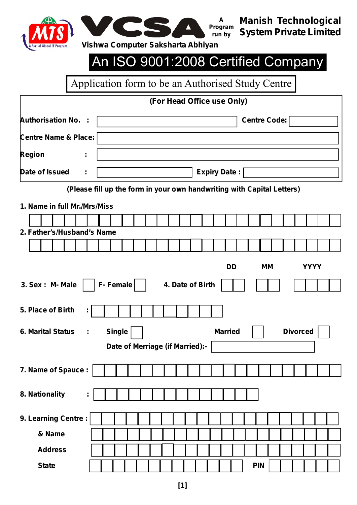



**Manish Technological System Private Limited**

# An ISO 9001:2008 Certified Company

Application form to be an Authorised Study Centre

# **(For Head Office use Only)**

| <b>Authorisation No. :</b>      | Centre Code:                                                           |  |  |  |  |  |  |  |  |  |  |  |  |
|---------------------------------|------------------------------------------------------------------------|--|--|--|--|--|--|--|--|--|--|--|--|
| <b>Centre Name &amp; Place:</b> |                                                                        |  |  |  |  |  |  |  |  |  |  |  |  |
| <b>Region</b><br>÷,             |                                                                        |  |  |  |  |  |  |  |  |  |  |  |  |
| Date of Issued<br>t,            | <b>Expiry Date:</b>                                                    |  |  |  |  |  |  |  |  |  |  |  |  |
|                                 | (Please fill up the form in your own handwriting with Capital Letters) |  |  |  |  |  |  |  |  |  |  |  |  |
| 1. Name in full Mr./Mrs/Miss    |                                                                        |  |  |  |  |  |  |  |  |  |  |  |  |
|                                 |                                                                        |  |  |  |  |  |  |  |  |  |  |  |  |
| 2. Father's/Husband's Name      |                                                                        |  |  |  |  |  |  |  |  |  |  |  |  |
|                                 |                                                                        |  |  |  |  |  |  |  |  |  |  |  |  |
|                                 | <b>DD</b><br><b>MM</b><br><b>YYYY</b>                                  |  |  |  |  |  |  |  |  |  |  |  |  |
| 3. Sex : M- Male                | F-Female<br>4. Date of Birth                                           |  |  |  |  |  |  |  |  |  |  |  |  |
| 5. Place of Birth               |                                                                        |  |  |  |  |  |  |  |  |  |  |  |  |
| <b>6. Marital Status</b><br>÷   | <b>Single</b><br><b>Divorced</b><br><b>Married</b>                     |  |  |  |  |  |  |  |  |  |  |  |  |
|                                 | Date of Merriage (if Married):-                                        |  |  |  |  |  |  |  |  |  |  |  |  |
| 7. Name of Spauce :             |                                                                        |  |  |  |  |  |  |  |  |  |  |  |  |
| 8. Nationality<br>t,            |                                                                        |  |  |  |  |  |  |  |  |  |  |  |  |
| 9. Learning Centre:             |                                                                        |  |  |  |  |  |  |  |  |  |  |  |  |
| & Name                          |                                                                        |  |  |  |  |  |  |  |  |  |  |  |  |
| <b>Address</b>                  |                                                                        |  |  |  |  |  |  |  |  |  |  |  |  |
| <b>State</b>                    | <b>PIN</b>                                                             |  |  |  |  |  |  |  |  |  |  |  |  |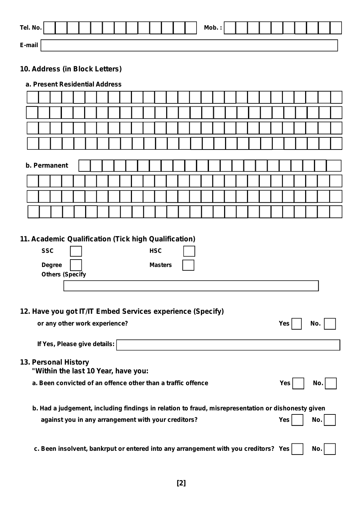| Tel. No. |  |  |  |  |  |  | Mob.: |  |  |  |  |  |
|----------|--|--|--|--|--|--|-------|--|--|--|--|--|
| E-mail   |  |  |  |  |  |  |       |  |  |  |  |  |

## **10. Address (in Block Letters)**

## **a. Present Residential Address**

| b. Permanent                                                                                                                                                                                                                                                      |  |  |  |  |  |  |  |  |  |
|-------------------------------------------------------------------------------------------------------------------------------------------------------------------------------------------------------------------------------------------------------------------|--|--|--|--|--|--|--|--|--|
|                                                                                                                                                                                                                                                                   |  |  |  |  |  |  |  |  |  |
|                                                                                                                                                                                                                                                                   |  |  |  |  |  |  |  |  |  |
|                                                                                                                                                                                                                                                                   |  |  |  |  |  |  |  |  |  |
|                                                                                                                                                                                                                                                                   |  |  |  |  |  |  |  |  |  |
| <b>SSC</b><br><b>HSC</b><br><b>Degree</b><br><b>Masters</b><br><b>Others (Specify</b><br>12. Have you got IT/IT Embed Services experience (Specify)<br>or any other work experience?<br><b>Yes</b><br>No.<br>If Yes, Please give details:<br>13. Personal History |  |  |  |  |  |  |  |  |  |
| "Within the last 10 Year, have you:                                                                                                                                                                                                                               |  |  |  |  |  |  |  |  |  |
| a. Been convicted of an offence other than a traffic offence<br>Yes<br>No.                                                                                                                                                                                        |  |  |  |  |  |  |  |  |  |
| b. Had a judgement, including findings in relation to fraud, misrepresentation or dishonesty given<br>against you in any arrangement with your creditors?<br><b>Yes</b><br>No.                                                                                    |  |  |  |  |  |  |  |  |  |
| c. Been insolvent, bankrput or entered into any arrangement with you creditors? Yes<br>No.                                                                                                                                                                        |  |  |  |  |  |  |  |  |  |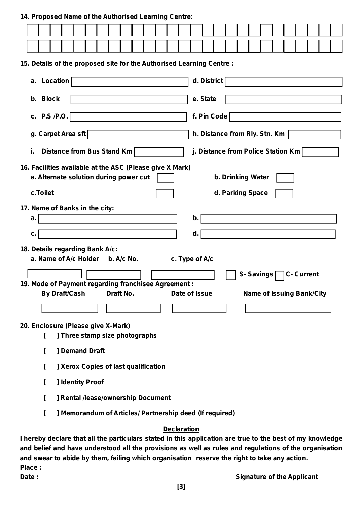#### **14. Proposed Name of the Authorised Learning Centre:**

|          | 15. Details of the proposed site for the Authorised Learning Centre :                              |                                |  |  |           |  |  |                |    |          |                       |                               |  |           |                                    |                                  |  |
|----------|----------------------------------------------------------------------------------------------------|--------------------------------|--|--|-----------|--|--|----------------|----|----------|-----------------------|-------------------------------|--|-----------|------------------------------------|----------------------------------|--|
|          | a. Location                                                                                        |                                |  |  |           |  |  |                |    |          | $d.$ District $\vert$ |                               |  |           |                                    |                                  |  |
|          | b. Block                                                                                           |                                |  |  |           |  |  |                |    | e. State |                       |                               |  |           |                                    |                                  |  |
|          |                                                                                                    |                                |  |  |           |  |  |                |    |          |                       |                               |  |           |                                    |                                  |  |
|          | c. $P.S/P.O.$                                                                                      |                                |  |  |           |  |  |                |    |          | f. Pin Code           |                               |  |           |                                    |                                  |  |
|          | g. Carpet Area sft                                                                                 |                                |  |  |           |  |  |                |    |          |                       | h. Distance from Rly. Stn. Km |  |           |                                    |                                  |  |
| i.       | Distance from Bus Stand Km                                                                         |                                |  |  |           |  |  |                |    |          |                       |                               |  |           | j. Distance from Police Station Km |                                  |  |
|          | 16. Facilities available at the ASC (Please give X Mark)<br>a. Alternate solution during power cut |                                |  |  |           |  |  |                |    |          |                       | b. Drinking Water             |  |           |                                    |                                  |  |
| c.Toilet |                                                                                                    |                                |  |  |           |  |  |                |    |          |                       | d. Parking Space              |  |           |                                    |                                  |  |
|          | 17. Name of Banks in the city:                                                                     |                                |  |  |           |  |  |                |    |          |                       |                               |  |           |                                    |                                  |  |
| a.       |                                                                                                    |                                |  |  |           |  |  |                | b. |          |                       |                               |  |           |                                    |                                  |  |
| C.       |                                                                                                    |                                |  |  |           |  |  |                | d. |          |                       |                               |  |           |                                    |                                  |  |
|          | 18. Details regarding Bank A/c:                                                                    |                                |  |  |           |  |  |                |    |          |                       |                               |  |           |                                    |                                  |  |
|          | a. Name of A/c Holder b. A/c No.                                                                   |                                |  |  |           |  |  | c. Type of A/c |    |          |                       |                               |  |           |                                    |                                  |  |
|          |                                                                                                    |                                |  |  |           |  |  |                |    |          |                       |                               |  | S-Savings |                                    | <b>C- Current</b>                |  |
|          | 19. Mode of Payment regarding franchisee Agreement:                                                |                                |  |  |           |  |  |                |    |          |                       |                               |  |           |                                    |                                  |  |
|          | <b>By Draft/Cash</b>                                                                               |                                |  |  | Draft No. |  |  | Date of Issue  |    |          |                       |                               |  |           |                                    | <b>Name of Issuing Bank/City</b> |  |
|          |                                                                                                    |                                |  |  |           |  |  |                |    |          |                       |                               |  |           |                                    |                                  |  |
|          | 20. Enclosure (Please give X-Mark)                                                                 |                                |  |  |           |  |  |                |    |          |                       |                               |  |           |                                    |                                  |  |
|          |                                                                                                    | ] Three stamp size photographs |  |  |           |  |  |                |    |          |                       |                               |  |           |                                    |                                  |  |
|          | L                                                                                                  | <b>J</b> Demand Draft          |  |  |           |  |  |                |    |          |                       |                               |  |           |                                    |                                  |  |

- **[ ] Xerox Copies of last qualification**
- **[ ] Identity Proof**
- **[ ] Rental /lease/ownership Document**
- **[ ] Memorandum of Articles/ Partnership deed (If required)**

### **Declaration**

**[[[[[[[ and swear to abide by them, failing which organisation reserve the right to take any action.** I hereby declare that all the particulars stated in this application are true to the best of my knowledge **and belief and have understood all the provisions as well as rules and regulations of the organisation Place :**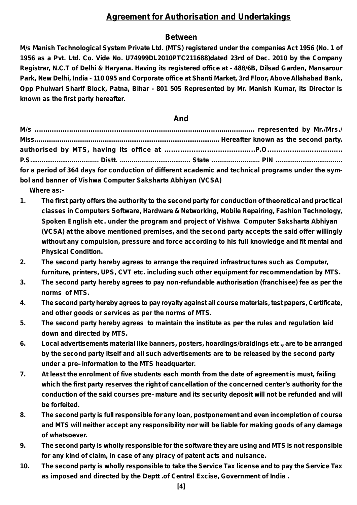## **Agreement for Authorisation and Undertakings**

## **Between**

**M/s Manish Technological System Private Ltd. (MTS) registered under the companies Act 1956 (No. 1 of 1956 as a Pvt. Ltd. Co. Vide No. U74999DL2010PTC211688)dated 23rd of Dec. 2010 by the Company Registrar, N.C.T of Delhi & Haryana. Having its registered office at - 488/6B, Dilsad Garden, Mansarour** Park, New Delhi, India - 110 095 and Corporate office at Shanti Market, 3rd Floor, Above Allahabad Bank, **Opp Phulwari Sharif Block, Patna, Bihar - 801 505 Represented by Mr. Manish Kumar, its Director is known as the first party hereafter.**

#### **And**

|                                                            | for a period of 364 days for conduction of different academic and technical programs under the sym- |
|------------------------------------------------------------|-----------------------------------------------------------------------------------------------------|
| bol and banner of Vishwa Computer Saksharta Abhiyan (VCSA) |                                                                                                     |

- **Where as:-**
- **1. The first party offers the authority to the second party for conduction of theoretical and practical classes in Computers Software, Hardware & Networking, Mobile Repairing, Fashion Technology, Spoken English etc. under the program and project of Vishwa Computer Saksharta Abhiyan (VCSA) at the above mentioned premises, and the second party accepts the said offer willingly without any compulsion, pressure and force according to his full knowledge and fit mental and Physical Condition.**
- **2. The second party hereby agrees to arrange the required infrastructures such as Computer, furniture, printers, UPS, CVT etc. including such other equipment for recommendation by MTS.**
- **3. The second party hereby agrees to pay non-refundable authorisation (franchisee) fee as per the norms of MTS.**
- **4. The second party hereby agrees to pay royalty against all course materials, test papers, Certificate, and other goods or services as per the norms of MTS.**
- **5. The second party hereby agrees to maintain the institute as per the rules and regulation laid down and directed by MTS.**
- **6. Local advertisements material like banners, posters, hoardings/braidings etc., are to be arranged by the second party itself and all such advertisements are to be released by the second party under a pre–information to the MTS headquarter.**
- **7. At least the enrolment of five students each month from the date of agreement is must, failing which the first party reserves the right of cancellation of the concerned center's authority for the conduction of the said courses pre–mature and its security deposit will not be refunded and will be forfeited.**
- **8. The second party is full responsible for any loan, postponement and even incompletion of course and MTS will neither accept any responsibility nor will be liable for making goods of any damage of whatsoever.**
- **[[[[[[[ for any kind of claim, in case of any piracy of patent acts and nuisance.** 9. The second party is wholly responsible for the software they are using and MTS is not responsible
- 10. The second party is wholly responsible to take the Service Tax license and to pay the Service Tax **as imposed and directed by the Deptt .of Central Excise, Government of India .**